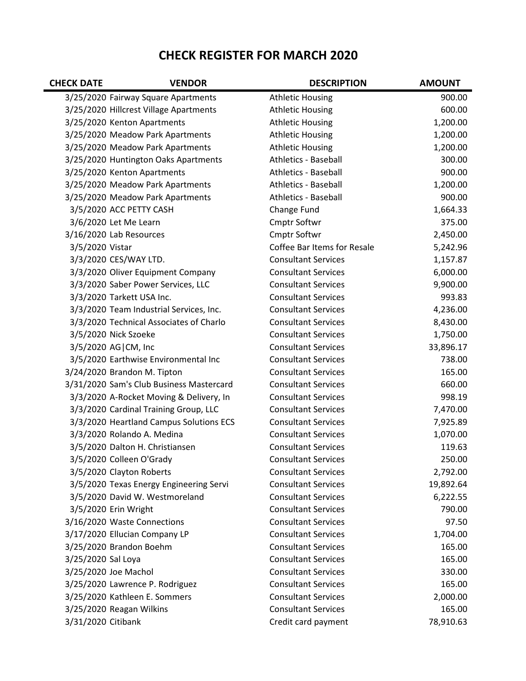## **CHECK REGISTER FOR MARCH 2020**

| <b>CHECK DATE</b>  | <b>VENDOR</b>                            | <b>DESCRIPTION</b>          | <b>AMOUNT</b> |
|--------------------|------------------------------------------|-----------------------------|---------------|
|                    | 3/25/2020 Fairway Square Apartments      | <b>Athletic Housing</b>     | 900.00        |
|                    | 3/25/2020 Hillcrest Village Apartments   | <b>Athletic Housing</b>     | 600.00        |
|                    | 3/25/2020 Kenton Apartments              | <b>Athletic Housing</b>     | 1,200.00      |
|                    | 3/25/2020 Meadow Park Apartments         | <b>Athletic Housing</b>     | 1,200.00      |
|                    | 3/25/2020 Meadow Park Apartments         | <b>Athletic Housing</b>     | 1,200.00      |
|                    | 3/25/2020 Huntington Oaks Apartments     | <b>Athletics - Baseball</b> | 300.00        |
|                    | 3/25/2020 Kenton Apartments              | <b>Athletics - Baseball</b> | 900.00        |
|                    | 3/25/2020 Meadow Park Apartments         | <b>Athletics - Baseball</b> | 1,200.00      |
|                    | 3/25/2020 Meadow Park Apartments         | <b>Athletics - Baseball</b> | 900.00        |
|                    | 3/5/2020 ACC PETTY CASH                  | Change Fund                 | 1,664.33      |
|                    | 3/6/2020 Let Me Learn                    | <b>Cmptr Softwr</b>         | 375.00        |
|                    | 3/16/2020 Lab Resources                  | <b>Cmptr Softwr</b>         | 2,450.00      |
| 3/5/2020 Vistar    |                                          | Coffee Bar Items for Resale | 5,242.96      |
|                    | 3/3/2020 CES/WAY LTD.                    | <b>Consultant Services</b>  | 1,157.87      |
|                    | 3/3/2020 Oliver Equipment Company        | <b>Consultant Services</b>  | 6,000.00      |
|                    | 3/3/2020 Saber Power Services, LLC       | <b>Consultant Services</b>  | 9,900.00      |
|                    | 3/3/2020 Tarkett USA Inc.                | <b>Consultant Services</b>  | 993.83        |
|                    | 3/3/2020 Team Industrial Services, Inc.  | <b>Consultant Services</b>  | 4,236.00      |
|                    | 3/3/2020 Technical Associates of Charlo  | <b>Consultant Services</b>  | 8,430.00      |
|                    | 3/5/2020 Nick Szoeke                     | <b>Consultant Services</b>  | 1,750.00      |
|                    | 3/5/2020 AG CM, Inc                      | <b>Consultant Services</b>  | 33,896.17     |
|                    | 3/5/2020 Earthwise Environmental Inc     | <b>Consultant Services</b>  | 738.00        |
|                    | 3/24/2020 Brandon M. Tipton              | <b>Consultant Services</b>  | 165.00        |
|                    | 3/31/2020 Sam's Club Business Mastercard | <b>Consultant Services</b>  | 660.00        |
|                    | 3/3/2020 A-Rocket Moving & Delivery, In  | <b>Consultant Services</b>  | 998.19        |
|                    | 3/3/2020 Cardinal Training Group, LLC    | <b>Consultant Services</b>  | 7,470.00      |
|                    | 3/3/2020 Heartland Campus Solutions ECS  | <b>Consultant Services</b>  | 7,925.89      |
|                    | 3/3/2020 Rolando A. Medina               | <b>Consultant Services</b>  | 1,070.00      |
|                    | 3/5/2020 Dalton H. Christiansen          | <b>Consultant Services</b>  | 119.63        |
|                    | 3/5/2020 Colleen O'Grady                 | <b>Consultant Services</b>  | 250.00        |
|                    | 3/5/2020 Clayton Roberts                 | <b>Consultant Services</b>  | 2,792.00      |
|                    | 3/5/2020 Texas Energy Engineering Servi  | <b>Consultant Services</b>  | 19,892.64     |
|                    | 3/5/2020 David W. Westmoreland           | <b>Consultant Services</b>  | 6,222.55      |
|                    | 3/5/2020 Erin Wright                     | <b>Consultant Services</b>  | 790.00        |
|                    | 3/16/2020 Waste Connections              | <b>Consultant Services</b>  | 97.50         |
|                    | 3/17/2020 Ellucian Company LP            | <b>Consultant Services</b>  | 1,704.00      |
|                    | 3/25/2020 Brandon Boehm                  | <b>Consultant Services</b>  | 165.00        |
| 3/25/2020 Sal Loya |                                          | <b>Consultant Services</b>  | 165.00        |
|                    | 3/25/2020 Joe Machol                     | <b>Consultant Services</b>  | 330.00        |
|                    | 3/25/2020 Lawrence P. Rodriguez          | <b>Consultant Services</b>  | 165.00        |
|                    | 3/25/2020 Kathleen E. Sommers            | <b>Consultant Services</b>  | 2,000.00      |
|                    | 3/25/2020 Reagan Wilkins                 | <b>Consultant Services</b>  | 165.00        |
| 3/31/2020 Citibank |                                          | Credit card payment         | 78,910.63     |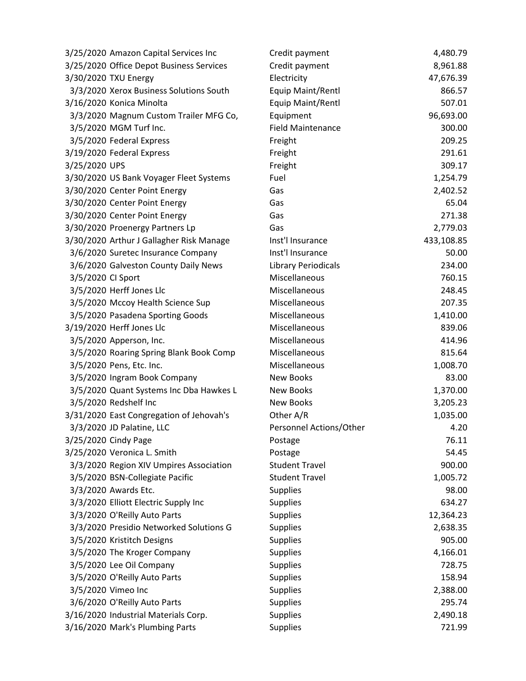| 3/25/2020 Amazon Capital Services Inc    | Credit payment             | 4,480.79   |
|------------------------------------------|----------------------------|------------|
| 3/25/2020 Office Depot Business Services | Credit payment             | 8,961.88   |
| 3/30/2020 TXU Energy                     | Electricity                | 47,676.39  |
| 3/3/2020 Xerox Business Solutions South  | Equip Maint/Rentl          | 866.57     |
| 3/16/2020 Konica Minolta                 | Equip Maint/Rentl          | 507.01     |
| 3/3/2020 Magnum Custom Trailer MFG Co,   | Equipment                  | 96,693.00  |
| 3/5/2020 MGM Turf Inc.                   | <b>Field Maintenance</b>   | 300.00     |
| 3/5/2020 Federal Express                 | Freight                    | 209.25     |
| 3/19/2020 Federal Express                | Freight                    | 291.61     |
| 3/25/2020 UPS                            | Freight                    | 309.17     |
| 3/30/2020 US Bank Voyager Fleet Systems  | Fuel                       | 1,254.79   |
| 3/30/2020 Center Point Energy            | Gas                        | 2,402.52   |
| 3/30/2020 Center Point Energy            | Gas                        | 65.04      |
| 3/30/2020 Center Point Energy            | Gas                        | 271.38     |
| 3/30/2020 Proenergy Partners Lp          | Gas                        | 2,779.03   |
| 3/30/2020 Arthur J Gallagher Risk Manage | Inst'l Insurance           | 433,108.85 |
| 3/6/2020 Suretec Insurance Company       | Inst'l Insurance           | 50.00      |
| 3/6/2020 Galveston County Daily News     | <b>Library Periodicals</b> | 234.00     |
| 3/5/2020 CI Sport                        | Miscellaneous              | 760.15     |
| 3/5/2020 Herff Jones Llc                 | Miscellaneous              | 248.45     |
| 3/5/2020 Mccoy Health Science Sup        | Miscellaneous              | 207.35     |
| 3/5/2020 Pasadena Sporting Goods         | Miscellaneous              | 1,410.00   |
| 3/19/2020 Herff Jones Llc                | Miscellaneous              | 839.06     |
| 3/5/2020 Apperson, Inc.                  | Miscellaneous              | 414.96     |
| 3/5/2020 Roaring Spring Blank Book Comp  | Miscellaneous              | 815.64     |
| 3/5/2020 Pens, Etc. Inc.                 | Miscellaneous              | 1,008.70   |
| 3/5/2020 Ingram Book Company             | New Books                  | 83.00      |
| 3/5/2020 Quant Systems Inc Dba Hawkes L  | <b>New Books</b>           | 1,370.00   |
| 3/5/2020 Redshelf Inc                    | <b>New Books</b>           | 3,205.23   |
| 3/31/2020 East Congregation of Jehovah's | Other A/R                  | 1,035.00   |
| 3/3/2020 JD Palatine, LLC                | Personnel Actions/Other    | 4.20       |
| 3/25/2020 Cindy Page                     | Postage                    | 76.11      |
| 3/25/2020 Veronica L. Smith              | Postage                    | 54.45      |
| 3/3/2020 Region XIV Umpires Association  | <b>Student Travel</b>      | 900.00     |
| 3/5/2020 BSN-Collegiate Pacific          | <b>Student Travel</b>      | 1,005.72   |
| 3/3/2020 Awards Etc.                     | Supplies                   | 98.00      |
| 3/3/2020 Elliott Electric Supply Inc     | <b>Supplies</b>            | 634.27     |
| 3/3/2020 O'Reilly Auto Parts             | <b>Supplies</b>            | 12,364.23  |
| 3/3/2020 Presidio Networked Solutions G  | <b>Supplies</b>            | 2,638.35   |
| 3/5/2020 Kristitch Designs               | Supplies                   | 905.00     |
| 3/5/2020 The Kroger Company              | <b>Supplies</b>            | 4,166.01   |
| 3/5/2020 Lee Oil Company                 | <b>Supplies</b>            | 728.75     |
| 3/5/2020 O'Reilly Auto Parts             | Supplies                   | 158.94     |
| 3/5/2020 Vimeo Inc                       | <b>Supplies</b>            | 2,388.00   |
| 3/6/2020 O'Reilly Auto Parts             | Supplies                   | 295.74     |
| 3/16/2020 Industrial Materials Corp.     | <b>Supplies</b>            | 2,490.18   |
| 3/16/2020 Mark's Plumbing Parts          | Supplies                   | 721.99     |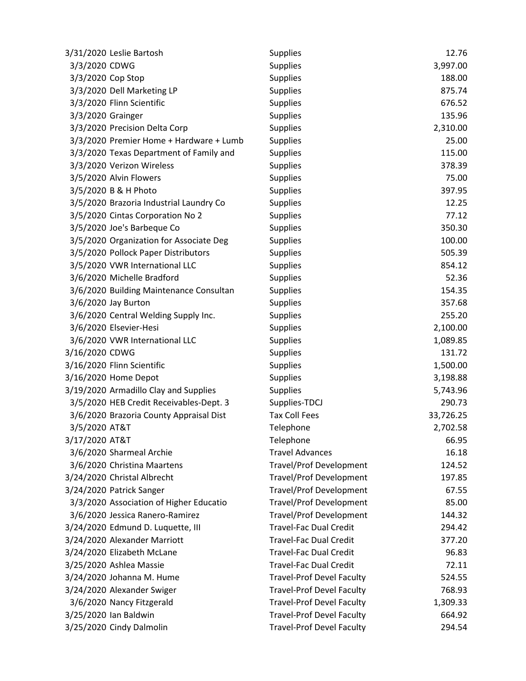|                   | 3/31/2020 Leslie Bartosh                | <b>Supplies</b>                  | 12.76     |
|-------------------|-----------------------------------------|----------------------------------|-----------|
| 3/3/2020 CDWG     |                                         | Supplies                         | 3,997.00  |
| 3/3/2020 Cop Stop |                                         | <b>Supplies</b>                  | 188.00    |
|                   | 3/3/2020 Dell Marketing LP              | <b>Supplies</b>                  | 875.74    |
|                   | 3/3/2020 Flinn Scientific               | <b>Supplies</b>                  | 676.52    |
| 3/3/2020 Grainger |                                         | <b>Supplies</b>                  | 135.96    |
|                   | 3/3/2020 Precision Delta Corp           | <b>Supplies</b>                  | 2,310.00  |
|                   | 3/3/2020 Premier Home + Hardware + Lumb | <b>Supplies</b>                  | 25.00     |
|                   | 3/3/2020 Texas Department of Family and | <b>Supplies</b>                  | 115.00    |
|                   | 3/3/2020 Verizon Wireless               | <b>Supplies</b>                  | 378.39    |
|                   | 3/5/2020 Alvin Flowers                  | <b>Supplies</b>                  | 75.00     |
|                   | 3/5/2020 B & H Photo                    | <b>Supplies</b>                  | 397.95    |
|                   | 3/5/2020 Brazoria Industrial Laundry Co | Supplies                         | 12.25     |
|                   | 3/5/2020 Cintas Corporation No 2        | <b>Supplies</b>                  | 77.12     |
|                   | 3/5/2020 Joe's Barbeque Co              | <b>Supplies</b>                  | 350.30    |
|                   | 3/5/2020 Organization for Associate Deg | <b>Supplies</b>                  | 100.00    |
|                   | 3/5/2020 Pollock Paper Distributors     | <b>Supplies</b>                  | 505.39    |
|                   | 3/5/2020 VWR International LLC          | Supplies                         | 854.12    |
|                   | 3/6/2020 Michelle Bradford              | <b>Supplies</b>                  | 52.36     |
|                   | 3/6/2020 Building Maintenance Consultan | Supplies                         | 154.35    |
|                   | 3/6/2020 Jay Burton                     | Supplies                         | 357.68    |
|                   | 3/6/2020 Central Welding Supply Inc.    | <b>Supplies</b>                  | 255.20    |
|                   | 3/6/2020 Elsevier-Hesi                  | <b>Supplies</b>                  | 2,100.00  |
|                   | 3/6/2020 VWR International LLC          | <b>Supplies</b>                  | 1,089.85  |
| 3/16/2020 CDWG    |                                         | <b>Supplies</b>                  | 131.72    |
|                   | 3/16/2020 Flinn Scientific              | <b>Supplies</b>                  | 1,500.00  |
|                   | 3/16/2020 Home Depot                    | <b>Supplies</b>                  | 3,198.88  |
|                   | 3/19/2020 Armadillo Clay and Supplies   | <b>Supplies</b>                  | 5,743.96  |
|                   | 3/5/2020 HEB Credit Receivables-Dept. 3 | Supplies-TDCJ                    | 290.73    |
|                   | 3/6/2020 Brazoria County Appraisal Dist | <b>Tax Coll Fees</b>             | 33,726.25 |
| 3/5/2020 AT&T     |                                         | Telephone                        | 2,702.58  |
| 3/17/2020 AT&T    |                                         | Telephone                        | 66.95     |
|                   | 3/6/2020 Sharmeal Archie                | <b>Travel Advances</b>           | 16.18     |
|                   | 3/6/2020 Christina Maartens             | <b>Travel/Prof Development</b>   | 124.52    |
|                   | 3/24/2020 Christal Albrecht             | <b>Travel/Prof Development</b>   | 197.85    |
|                   | 3/24/2020 Patrick Sanger                | <b>Travel/Prof Development</b>   | 67.55     |
|                   | 3/3/2020 Association of Higher Educatio | <b>Travel/Prof Development</b>   | 85.00     |
|                   | 3/6/2020 Jessica Ranero-Ramirez         | <b>Travel/Prof Development</b>   | 144.32    |
|                   | 3/24/2020 Edmund D. Luquette, III       | <b>Travel-Fac Dual Credit</b>    | 294.42    |
|                   | 3/24/2020 Alexander Marriott            | <b>Travel-Fac Dual Credit</b>    | 377.20    |
|                   | 3/24/2020 Elizabeth McLane              | <b>Travel-Fac Dual Credit</b>    | 96.83     |
|                   | 3/25/2020 Ashlea Massie                 | <b>Travel-Fac Dual Credit</b>    | 72.11     |
|                   | 3/24/2020 Johanna M. Hume               | <b>Travel-Prof Devel Faculty</b> | 524.55    |
|                   | 3/24/2020 Alexander Swiger              | <b>Travel-Prof Devel Faculty</b> | 768.93    |
|                   | 3/6/2020 Nancy Fitzgerald               | <b>Travel-Prof Devel Faculty</b> | 1,309.33  |
|                   | 3/25/2020 Ian Baldwin                   | <b>Travel-Prof Devel Faculty</b> | 664.92    |
|                   | 3/25/2020 Cindy Dalmolin                | <b>Travel-Prof Devel Faculty</b> | 294.54    |